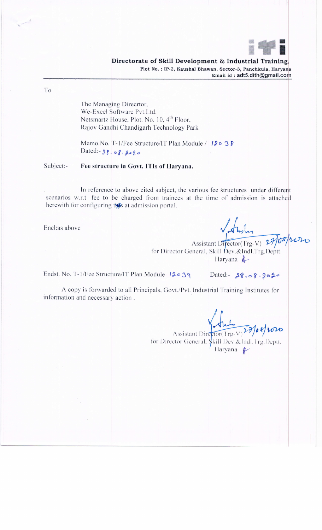

To

The Managing Direcrtor, We-Excel Software Pvt.Ltd. Netsmartz House, Plot. No. 10, 4<sup>th</sup> Floor, Rajov Gandhi Chandigarh Technology Park

Memo.No. T-1/Fee Structure/IT Plan Module / 120 38 Dated: - 28. 08. 2020

Subject:-Fee structure in Govt. ITIs of Haryana.

In reference to above cited subject, the various fee structures under different scenarios w.r.t fee to be charged from trainees at the time of admission is attached herewith for configuring this at admission portal.

Encl:as above

Assistant Difector(Trg-V) 27/08/2020

for Director General, Skill Dev.&Indl.Trg.Deptt. Haryana  $\triangle$ 

Endst. No. T-1/Fee Structure/IT Plan Module 12039

Dated:  $28.08.9020$ 

A copy is forwarded to all Principals, Govt./Pvt. Industrial Training Institutes for information and necessary action.

Assistant Director (Trg-V) 20/08/1010 Haryana #